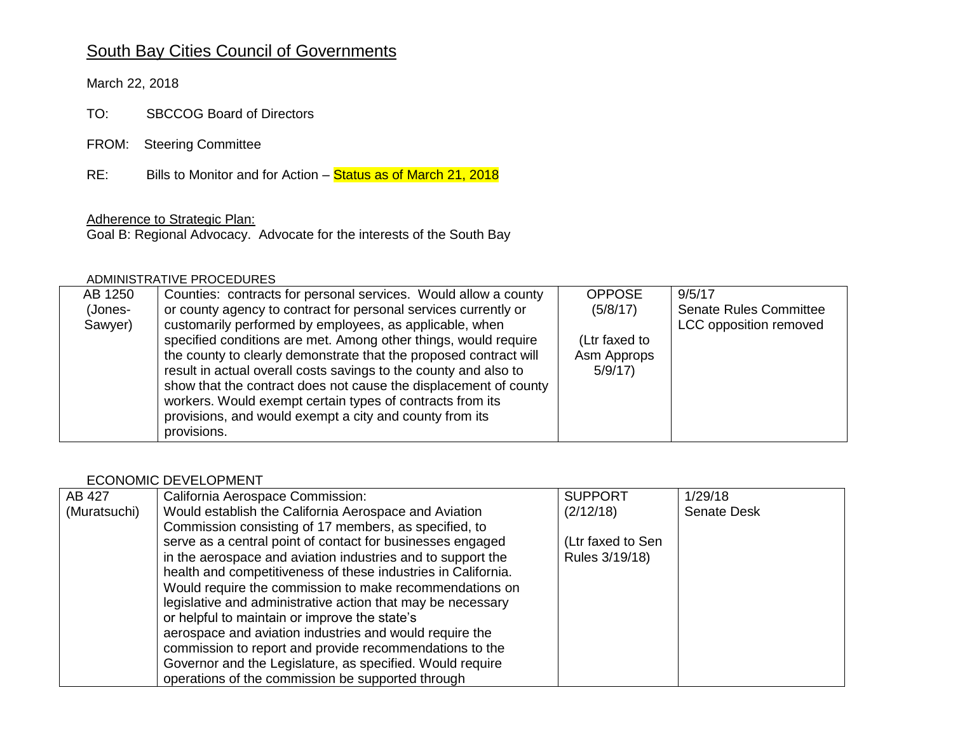# South Bay Cities Council of Governments

March 22, 2018

TO: SBCCOG Board of Directors

FROM: Steering Committee

RE: Bills to Monitor and for Action – Status as of March 21, 2018

#### Adherence to Strategic Plan:

Goal B: Regional Advocacy. Advocate for the interests of the South Bay

#### ADMINISTRATIVE PROCEDURES

| AB 1250 | Counties: contracts for personal services. Would allow a county   | <b>OPPOSE</b> | 9/5/17                        |
|---------|-------------------------------------------------------------------|---------------|-------------------------------|
| (Jones- | or county agency to contract for personal services currently or   | (5/8/17)      | <b>Senate Rules Committee</b> |
| Sawyer) | customarily performed by employees, as applicable, when           |               | LCC opposition removed        |
|         | specified conditions are met. Among other things, would require   | (Ltr faxed to |                               |
|         | the county to clearly demonstrate that the proposed contract will | Asm Approps   |                               |
|         | result in actual overall costs savings to the county and also to  | 5/9/17        |                               |
|         | show that the contract does not cause the displacement of county  |               |                               |
|         | workers. Would exempt certain types of contracts from its         |               |                               |
|         | provisions, and would exempt a city and county from its           |               |                               |
|         | provisions.                                                       |               |                               |

### ECONOMIC DEVELOPMENT

| AB 427       | California Aerospace Commission:                              | <b>SUPPORT</b>    | 1/29/18            |
|--------------|---------------------------------------------------------------|-------------------|--------------------|
| (Muratsuchi) | Would establish the California Aerospace and Aviation         | (2/12/18)         | <b>Senate Desk</b> |
|              | Commission consisting of 17 members, as specified, to         |                   |                    |
|              | serve as a central point of contact for businesses engaged    | (Ltr faxed to Sen |                    |
|              | in the aerospace and aviation industries and to support the   | Rules 3/19/18)    |                    |
|              | health and competitiveness of these industries in California. |                   |                    |
|              | Would require the commission to make recommendations on       |                   |                    |
|              | legislative and administrative action that may be necessary   |                   |                    |
|              | or helpful to maintain or improve the state's                 |                   |                    |
|              | aerospace and aviation industries and would require the       |                   |                    |
|              | commission to report and provide recommendations to the       |                   |                    |
|              | Governor and the Legislature, as specified. Would require     |                   |                    |
|              | operations of the commission be supported through             |                   |                    |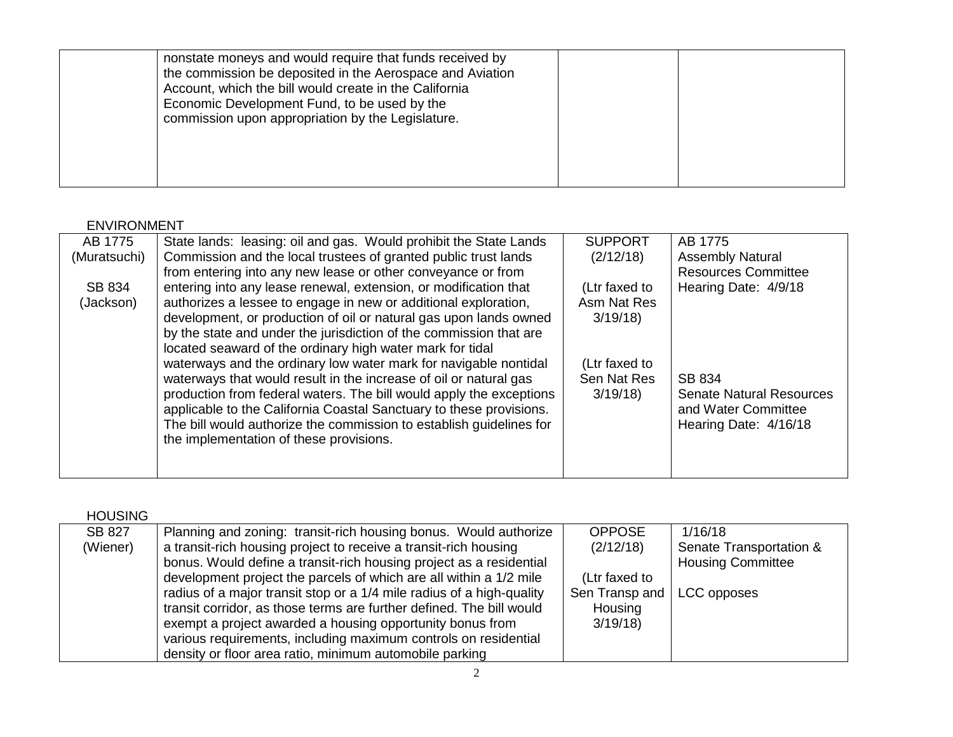|  |  | nonstate moneys and would require that funds received by<br>the commission be deposited in the Aerospace and Aviation<br>Account, which the bill would create in the California<br>Economic Development Fund, to be used by the<br>commission upon appropriation by the Legislature. |  |  |
|--|--|--------------------------------------------------------------------------------------------------------------------------------------------------------------------------------------------------------------------------------------------------------------------------------------|--|--|
|--|--|--------------------------------------------------------------------------------------------------------------------------------------------------------------------------------------------------------------------------------------------------------------------------------------|--|--|

## ENVIRONMENT

| AB 1775      | State lands: leasing: oil and gas. Would prohibit the State Lands   | <b>SUPPORT</b> | AB 1775                         |
|--------------|---------------------------------------------------------------------|----------------|---------------------------------|
| (Muratsuchi) | Commission and the local trustees of granted public trust lands     | (2/12/18)      | <b>Assembly Natural</b>         |
|              | from entering into any new lease or other conveyance or from        |                | <b>Resources Committee</b>      |
| SB 834       | entering into any lease renewal, extension, or modification that    | (Ltr faxed to  | Hearing Date: 4/9/18            |
| (Jackson)    | authorizes a lessee to engage in new or additional exploration,     | Asm Nat Res    |                                 |
|              | development, or production of oil or natural gas upon lands owned   | 3/19/18        |                                 |
|              | by the state and under the jurisdiction of the commission that are  |                |                                 |
|              | located seaward of the ordinary high water mark for tidal           |                |                                 |
|              | waterways and the ordinary low water mark for navigable nontidal    | (Ltr faxed to  |                                 |
|              | waterways that would result in the increase of oil or natural gas   | Sen Nat Res    | SB 834                          |
|              | production from federal waters. The bill would apply the exceptions | 3/19/18        | <b>Senate Natural Resources</b> |
|              | applicable to the California Coastal Sanctuary to these provisions. |                | and Water Committee             |
|              | The bill would authorize the commission to establish guidelines for |                | Hearing Date: 4/16/18           |
|              | the implementation of these provisions.                             |                |                                 |
|              |                                                                     |                |                                 |
|              |                                                                     |                |                                 |

| <b>HOUSING</b> |                                                                       |                |                          |
|----------------|-----------------------------------------------------------------------|----------------|--------------------------|
| <b>SB 827</b>  | Planning and zoning: transit-rich housing bonus. Would authorize      | <b>OPPOSE</b>  | 1/16/18                  |
| (Wiener)       | a transit-rich housing project to receive a transit-rich housing      | (2/12/18)      | Senate Transportation &  |
|                | bonus. Would define a transit-rich housing project as a residential   |                | <b>Housing Committee</b> |
|                | development project the parcels of which are all within a 1/2 mile    | (Ltr faxed to  |                          |
|                | radius of a major transit stop or a 1/4 mile radius of a high-quality | Sen Transp and | LCC opposes              |
|                | transit corridor, as those terms are further defined. The bill would  | Housing        |                          |
|                | exempt a project awarded a housing opportunity bonus from             | 3/19/18        |                          |
|                | various requirements, including maximum controls on residential       |                |                          |
|                | density or floor area ratio, minimum automobile parking               |                |                          |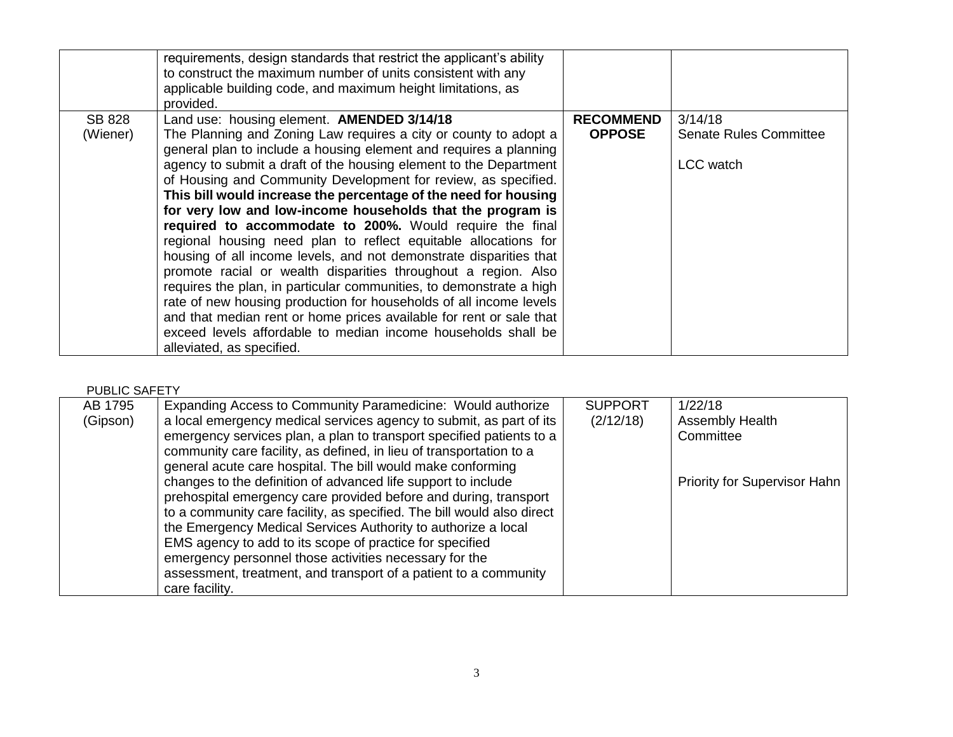|                           | requirements, design standards that restrict the applicant's ability<br>to construct the maximum number of units consistent with any<br>applicable building code, and maximum height limitations, as<br>provided. |                                   |                                          |
|---------------------------|-------------------------------------------------------------------------------------------------------------------------------------------------------------------------------------------------------------------|-----------------------------------|------------------------------------------|
| <b>SB 828</b><br>(Wiener) | Land use: housing element. <b>AMENDED 3/14/18</b><br>The Planning and Zoning Law requires a city or county to adopt a                                                                                             | <b>RECOMMEND</b><br><b>OPPOSE</b> | 3/14/18<br><b>Senate Rules Committee</b> |
|                           | general plan to include a housing element and requires a planning                                                                                                                                                 |                                   |                                          |
|                           | agency to submit a draft of the housing element to the Department                                                                                                                                                 |                                   | LCC watch                                |
|                           | of Housing and Community Development for review, as specified.<br>This bill would increase the percentage of the need for housing                                                                                 |                                   |                                          |
|                           | for very low and low-income households that the program is                                                                                                                                                        |                                   |                                          |
|                           | required to accommodate to 200%. Would require the final                                                                                                                                                          |                                   |                                          |
|                           | regional housing need plan to reflect equitable allocations for<br>housing of all income levels, and not demonstrate disparities that                                                                             |                                   |                                          |
|                           | promote racial or wealth disparities throughout a region. Also                                                                                                                                                    |                                   |                                          |
|                           | requires the plan, in particular communities, to demonstrate a high                                                                                                                                               |                                   |                                          |
|                           | rate of new housing production for households of all income levels<br>and that median rent or home prices available for rent or sale that                                                                         |                                   |                                          |
|                           | exceed levels affordable to median income households shall be                                                                                                                                                     |                                   |                                          |
|                           | alleviated, as specified.                                                                                                                                                                                         |                                   |                                          |

#### PUBLIC SAFETY

| AB 1795  | Expanding Access to Community Paramedicine: Would authorize            | <b>SUPPORT</b> | 1/22/18                             |
|----------|------------------------------------------------------------------------|----------------|-------------------------------------|
| (Gipson) | a local emergency medical services agency to submit, as part of its    | (2/12/18)      | <b>Assembly Health</b>              |
|          | emergency services plan, a plan to transport specified patients to a   |                | Committee                           |
|          | community care facility, as defined, in lieu of transportation to a    |                |                                     |
|          | general acute care hospital. The bill would make conforming            |                |                                     |
|          | changes to the definition of advanced life support to include          |                | <b>Priority for Supervisor Hahn</b> |
|          | prehospital emergency care provided before and during, transport       |                |                                     |
|          | to a community care facility, as specified. The bill would also direct |                |                                     |
|          | the Emergency Medical Services Authority to authorize a local          |                |                                     |
|          | EMS agency to add to its scope of practice for specified               |                |                                     |
|          | emergency personnel those activities necessary for the                 |                |                                     |
|          | assessment, treatment, and transport of a patient to a community       |                |                                     |
|          | care facility.                                                         |                |                                     |